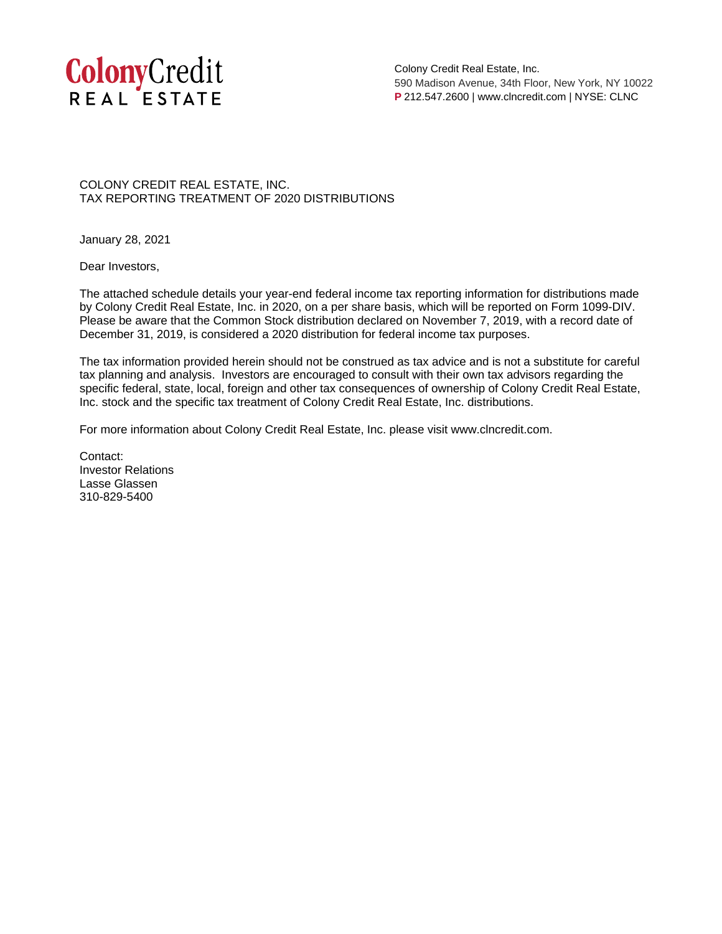

Colony Credit Real Estate, Inc. 590 Madison Avenue, 34th Floor, New York, NY 10022 **P** 212.547.2600 | www.clncredit.com | NYSE: CLNC

COLONY CREDIT REAL ESTATE, INC. TAX REPORTING TREATMENT OF 2020 DISTRIBUTIONS

January 28, 2021

Dear Investors,

The attached schedule details your year-end federal income tax reporting information for distributions made by Colony Credit Real Estate, Inc. in 2020, on a per share basis, which will be reported on Form 1099-DIV. Please be aware that the Common Stock distribution declared on November 7, 2019, with a record date of December 31, 2019, is considered a 2020 distribution for federal income tax purposes.

The tax information provided herein should not be construed as tax advice and is not a substitute for careful tax planning and analysis. Investors are encouraged to consult with their own tax advisors regarding the specific federal, state, local, foreign and other tax consequences of ownership of Colony Credit Real Estate, Inc. stock and the specific tax treatment of Colony Credit Real Estate, Inc. distributions.

For more information about Colony Credit Real Estate, Inc. please visit www.clncredit.com.

Contact: Investor Relations Lasse Glassen 310-829-5400